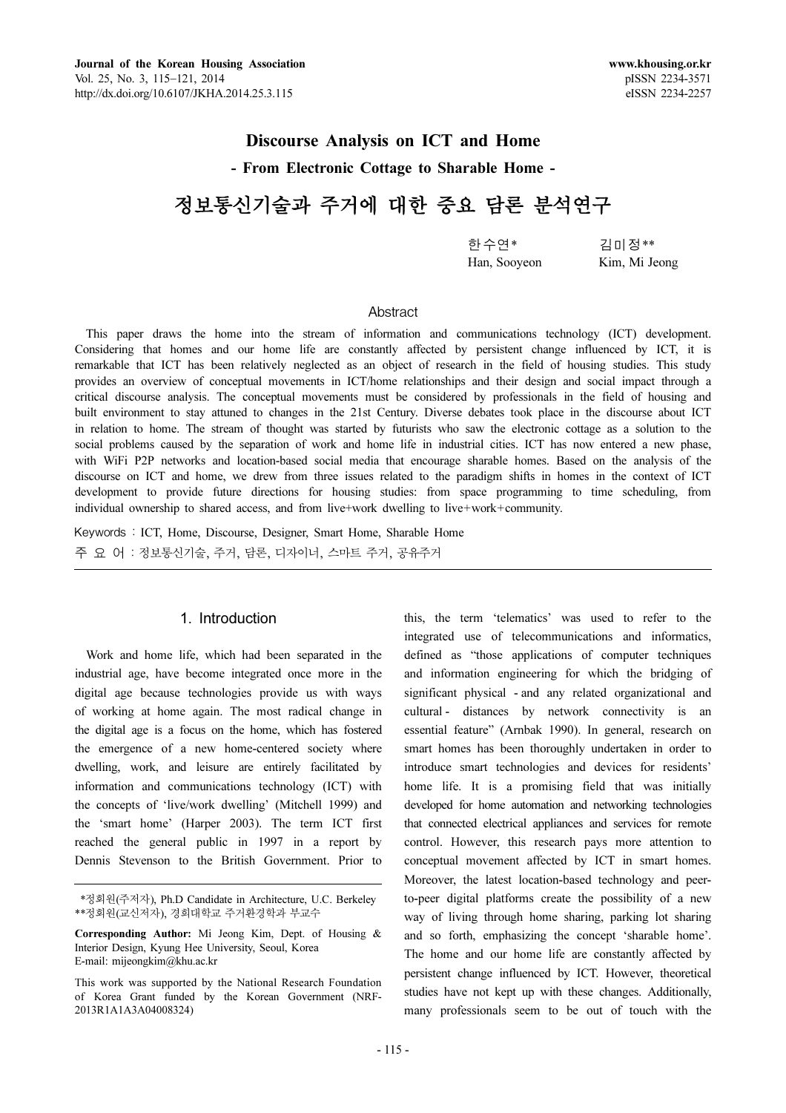## Discourse Analysis on ICT and Home

- From Electronic Cottage to Sharable Home -

# 정보통신기술과 주거에 대한 중요 담론 분석연구

Han, Sooyeon Kim, Mi Jeong

한수연\* 김미정\*\*<br>Han, Sooyeon Kim, Mi Jeong

## **Abstract**

This paper draws the home into the stream of information and communications technology (ICT) development. Considering that homes and our home life are constantly affected by persistent change influenced by ICT, it is remarkable that ICT has been relatively neglected as an object of research in the field of housing studies. This study provides an overview of conceptual movements in ICT/home relationships and their design and social impact through a critical discourse analysis. The conceptual movements must be considered by professionals in the field of housing and built environment to stay attuned to changes in the 21st Century. Diverse debates took place in the discourse about ICT in relation to home. The stream of thought was started by futurists who saw the electronic cottage as a solution to the social problems caused by the separation of work and home life in industrial cities. ICT has now entered a new phase, with WiFi P2P networks and location-based social media that encourage sharable homes. Based on the analysis of the discourse on ICT and home, we drew from three issues related to the paradigm shifts in homes in the context of ICT development to provide future directions for housing studies: from space programming to time scheduling, from individual ownership to shared access, and from live+work dwelling to live+work+community.

Keywords : ICT, Home, Discourse, Designer, Smart Home, Sharable Home 주요어: 정보통신기술, 주거, 담론, 디자이너, 스마트 주거, 공유주거

## 1. Introduction

Work and home life, which had been separated in the industrial age, have become integrated once more in the digital age because technologies provide us with ways of working at home again. The most radical change in the digital age is a focus on the home, which has fostered the emergence of a new home-centered society where dwelling, work, and leisure are entirely facilitated by information and communications technology (ICT) with the concepts of 'live/work dwelling' (Mitchell 1999) and the 'smart home' (Harper 2003). The term ICT first reached the general public in 1997 in a report by Dennis Stevenson to the British Government. Prior to this, the term 'telematics' was used to refer to the integrated use of telecommunications and informatics, defined as "those applications of computer techniques and information engineering for which the bridging of significant physical - and any related organizational and cultural - distances by network connectivity is an essential feature" (Arnbak 1990). In general, research on smart homes has been thoroughly undertaken in order to introduce smart technologies and devices for residents' home life. It is a promising field that was initially developed for home automation and networking technologies that connected electrical appliances and services for remote control. However, this research pays more attention to conceptual movement affected by ICT in smart homes. Moreover, the latest location-based technology and peerto-peer digital platforms create the possibility of a new way of living through home sharing, parking lot sharing and so forth, emphasizing the concept 'sharable home'. The home and our home life are constantly affected by persistent change influenced by ICT. However, theoretical studies have not kept up with these changes. Additionally, many professionals seem to be out of touch with the

<sup>\*\*</sup>정회원(주저자), Ph.D Candidate in Architecture, U.C. Berkeley \*\*정회원(교신저자), 경희대학교 주거환경학과 부교수

Corresponding Author: Mi Jeong Kim, Dept. of Housing & Interior Design, Kyung Hee University, Seoul, Korea E-mail: mijeongkim@khu.ac.kr

This work was supported by the National Research Foundation of Korea Grant funded by the Korean Government (NRF-2013R1A1A3A04008324)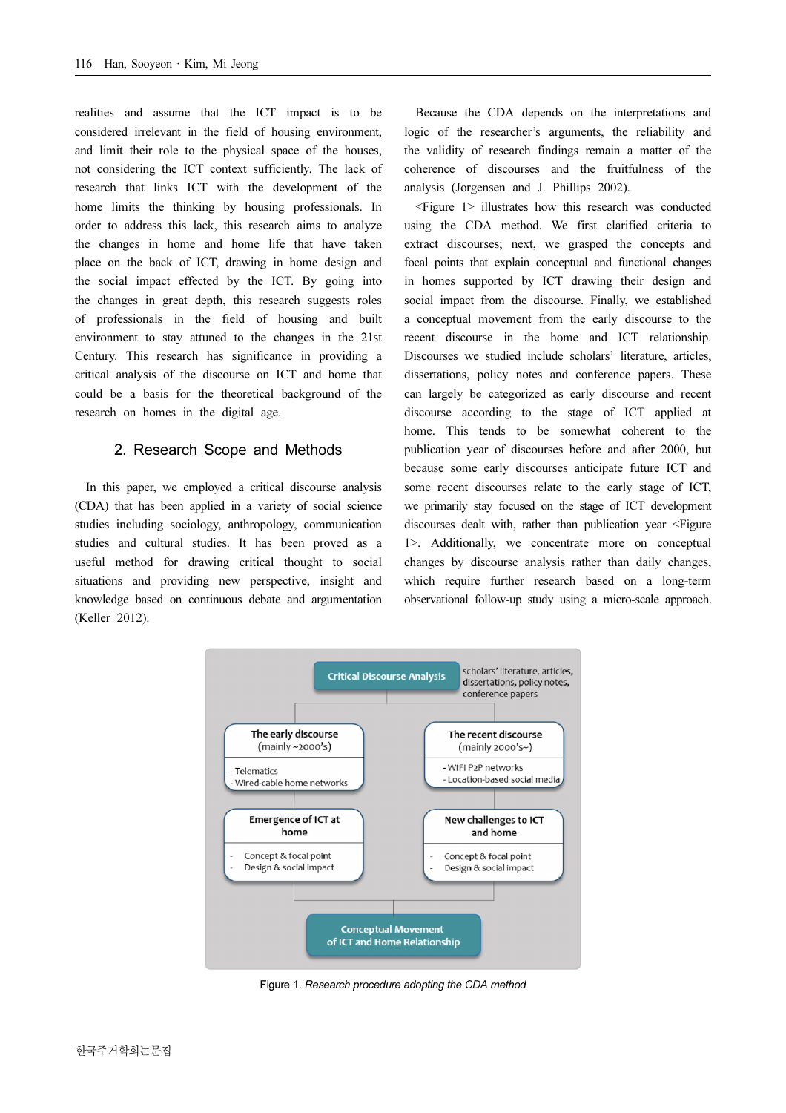realities and assume that the ICT impact is to be considered irrelevant in the field of housing environment, and limit their role to the physical space of the houses, not considering the ICT context sufficiently. The lack of research that links ICT with the development of the home limits the thinking by housing professionals. In order to address this lack, this research aims to analyze the changes in home and home life that have taken place on the back of ICT, drawing in home design and the social impact effected by the ICT. By going into the changes in great depth, this research suggests roles of professionals in the field of housing and built environment to stay attuned to the changes in the 21st Century. This research has significance in providing a critical analysis of the discourse on ICT and home that could be a basis for the theoretical background of the research on homes in the digital age.

#### 2. Research Scope and Methods

In this paper, we employed a critical discourse analysis (CDA) that has been applied in a variety of social science studies including sociology, anthropology, communication studies and cultural studies. It has been proved as a useful method for drawing critical thought to social situations and providing new perspective, insight and knowledge based on continuous debate and argumentation (Keller 2012).

Because the CDA depends on the interpretations and logic of the researcher's arguments, the reliability and the validity of research findings remain a matter of the coherence of discourses and the fruitfulness of the analysis (Jorgensen and J. Phillips 2002).

<Figure 1> illustrates how this research was conducted using the CDA method. We first clarified criteria to extract discourses; next, we grasped the concepts and focal points that explain conceptual and functional changes in homes supported by ICT drawing their design and social impact from the discourse. Finally, we established a conceptual movement from the early discourse to the recent discourse in the home and ICT relationship. Discourses we studied include scholars' literature, articles, dissertations, policy notes and conference papers. These can largely be categorized as early discourse and recent discourse according to the stage of ICT applied at home. This tends to be somewhat coherent to the publication year of discourses before and after 2000, but because some early discourses anticipate future ICT and some recent discourses relate to the early stage of ICT, we primarily stay focused on the stage of ICT development discourses dealt with, rather than publication year <Figure 1>. Additionally, we concentrate more on conceptual changes by discourse analysis rather than daily changes, which require further research based on a long-term observational follow-up study using a micro-scale approach.



Figure 1. Research procedure adopting the CDA method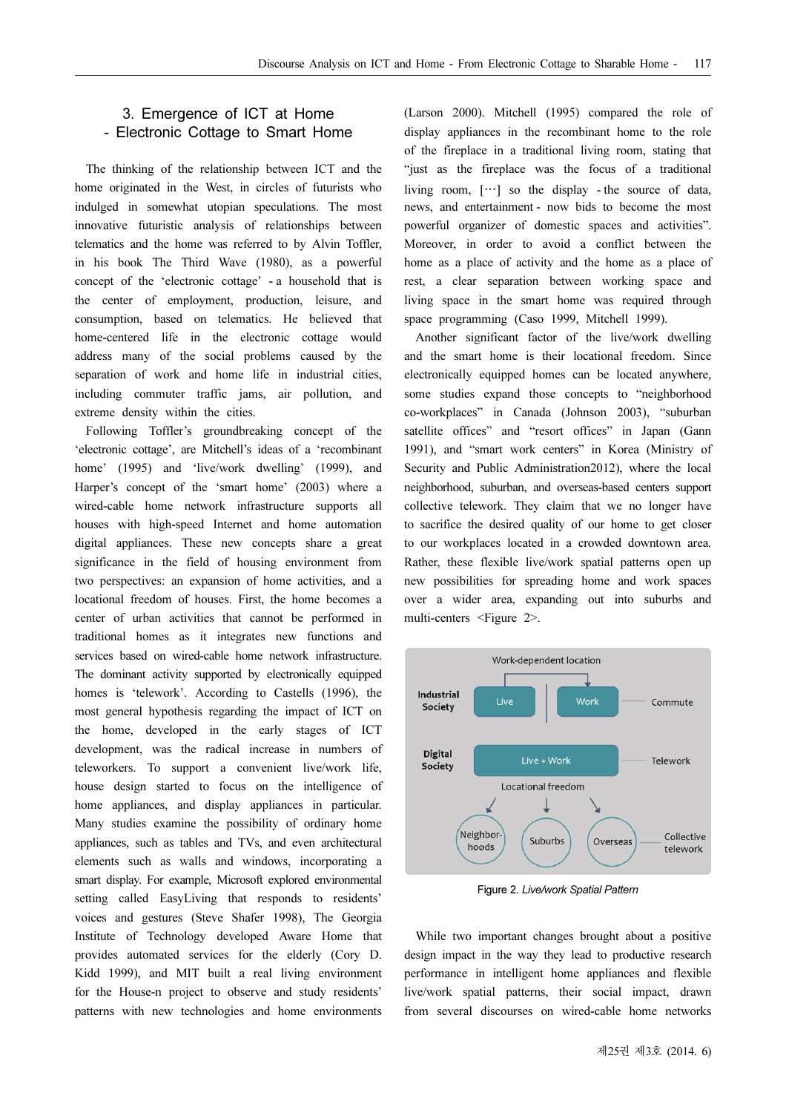## 3. Emergence of ICT at Home - Electronic Cottage to Smart Home

The thinking of the relationship between ICT and the home originated in the West, in circles of futurists who indulged in somewhat utopian speculations. The most innovative futuristic analysis of relationships between telematics and the home was referred to by Alvin Toffler, in his book The Third Wave (1980), as a powerful concept of the 'electronic cottage' - a household that is the center of employment, production, leisure, and consumption, based on telematics. He believed that home-centered life in the electronic cottage would address many of the social problems caused by the separation of work and home life in industrial cities, including commuter traffic jams, air pollution, and extreme density within the cities.

Following Toffler's groundbreaking concept of the 'electronic cottage', are Mitchell's ideas of a 'recombinant home' (1995) and 'live/work dwelling' (1999), and Harper's concept of the 'smart home' (2003) where a wired-cable home network infrastructure supports all houses with high-speed Internet and home automation digital appliances. These new concepts share a great significance in the field of housing environment from two perspectives: an expansion of home activities, and a locational freedom of houses. First, the home becomes a center of urban activities that cannot be performed in traditional homes as it integrates new functions and services based on wired-cable home network infrastructure. The dominant activity supported by electronically equipped homes is 'telework'. According to Castells (1996), the most general hypothesis regarding the impact of ICT on the home, developed in the early stages of ICT development, was the radical increase in numbers of teleworkers. To support a convenient live/work life, house design started to focus on the intelligence of home appliances, and display appliances in particular. Many studies examine the possibility of ordinary home appliances, such as tables and TVs, and even architectural elements such as walls and windows, incorporating a smart display. For example, Microsoft explored environmental setting called EasyLiving that responds to residents' voices and gestures (Steve Shafer 1998), The Georgia Institute of Technology developed Aware Home that provides automated services for the elderly (Cory D. Kidd 1999), and MIT built a real living environment for the House-n project to observe and study residents' patterns with new technologies and home environments

(Larson 2000). Mitchell (1995) compared the role of display appliances in the recombinant home to the role of the fireplace in a traditional living room, stating that "just as the fireplace was the focus of a traditional It is the fireplace was the focus of a traditional<br>living room,  $[\cdots]$  so the display - the source of data, news, and entertainment - now bids to become the most powerful organizer of domestic spaces and activities". Moreover, in order to avoid a conflict between the home as a place of activity and the home as a place of rest, a clear separation between working space and living space in the smart home was required through space programming (Caso 1999, Mitchell 1999).

Another significant factor of the live/work dwelling and the smart home is their locational freedom. Since electronically equipped homes can be located anywhere, some studies expand those concepts to "neighborhood co-workplaces" in Canada (Johnson 2003), "suburban satellite offices" and "resort offices" in Japan (Gann 1991), and "smart work centers" in Korea (Ministry of Security and Public Administration2012), where the local neighborhood, suburban, and overseas-based centers support collective telework. They claim that we no longer have to sacrifice the desired quality of our home to get closer to our workplaces located in a crowded downtown area. Rather, these flexible live/work spatial patterns open up new possibilities for spreading home and work spaces over a wider area, expanding out into suburbs and multi-centers <Figure 2>.



Figure 2. Live/work Spatial Pattern

While two important changes brought about a positive design impact in the way they lead to productive research performance in intelligent home appliances and flexible live/work spatial patterns, their social impact, drawn from several discourses on wired-cable home networks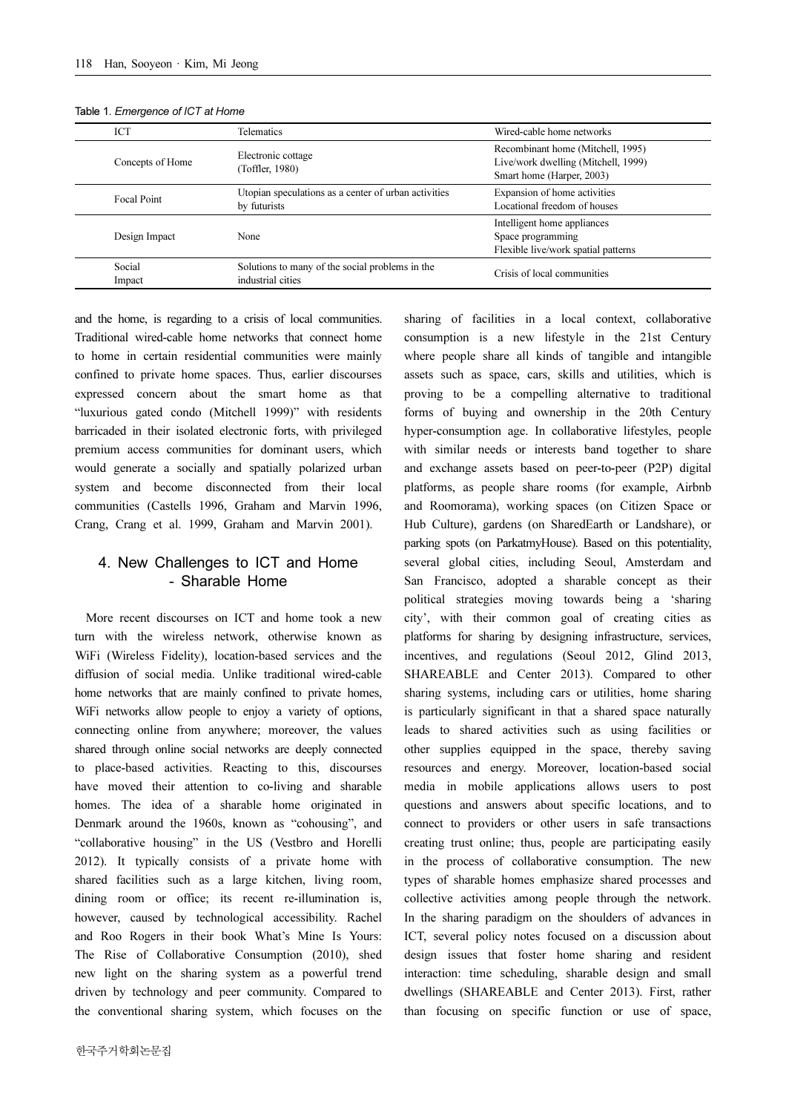| <b>ICT</b>         | Telematics                                                           | Wired-cable home networks                                                                             |
|--------------------|----------------------------------------------------------------------|-------------------------------------------------------------------------------------------------------|
| Concepts of Home   | Electronic cottage<br>(Toffler, 1980)                                | Recombinant home (Mitchell, 1995)<br>Live/work dwelling (Mitchell, 1999)<br>Smart home (Harper, 2003) |
| <b>Focal Point</b> | Utopian speculations as a center of urban activities<br>by futurists | Expansion of home activities<br>Locational freedom of houses                                          |
| Design Impact      | None                                                                 | Intelligent home appliances<br>Space programming<br>Flexible live/work spatial patterns               |
| Social<br>Impact   | Solutions to many of the social problems in the<br>industrial cities | Crisis of local communities                                                                           |

#### Table 1. Emergence of ICT at Home

and the home, is regarding to a crisis of local communities. Traditional wired-cable home networks that connect home to home in certain residential communities were mainly confined to private home spaces. Thus, earlier discourses expressed concern about the smart home as that "luxurious gated condo (Mitchell 1999)" with residents barricaded in their isolated electronic forts, with privileged premium access communities for dominant users, which would generate a socially and spatially polarized urban system and become disconnected from their local communities (Castells 1996, Graham and Marvin 1996, Crang, Crang et al. 1999, Graham and Marvin 2001).

## 4. New Challenges to ICT and Home - Sharable Home

More recent discourses on ICT and home took a new turn with the wireless network, otherwise known as WiFi (Wireless Fidelity), location-based services and the diffusion of social media. Unlike traditional wired-cable home networks that are mainly confined to private homes, WiFi networks allow people to enjoy a variety of options, connecting online from anywhere; moreover, the values shared through online social networks are deeply connected to place-based activities. Reacting to this, discourses have moved their attention to co-living and sharable homes. The idea of a sharable home originated in Denmark around the 1960s, known as "cohousing", and "collaborative housing" in the US (Vestbro and Horelli 2012). It typically consists of a private home with shared facilities such as a large kitchen, living room, dining room or office; its recent re-illumination is, however, caused by technological accessibility. Rachel and Roo Rogers in their book What's Mine Is Yours: The Rise of Collaborative Consumption (2010), shed new light on the sharing system as a powerful trend driven by technology and peer community. Compared to the conventional sharing system, which focuses on the where people share all kinds of tangible and intangible assets such as space, cars, skills and utilities, which is proving to be a compelling alternative to traditional forms of buying and ownership in the 20th Century hyper-consumption age. In collaborative lifestyles, people with similar needs or interests band together to share and exchange assets based on peer-to-peer (P2P) digital platforms, as people share rooms (for example, Airbnb and Roomorama), working spaces (on Citizen Space or Hub Culture), gardens (on SharedEarth or Landshare), or parking spots (on ParkatmyHouse). Based on this potentiality, several global cities, including Seoul, Amsterdam and San Francisco, adopted a sharable concept as their political strategies moving towards being a 'sharing city', with their common goal of creating cities as platforms for sharing by designing infrastructure, services, incentives, and regulations (Seoul 2012, Glind 2013, SHAREABLE and Center 2013). Compared to other sharing systems, including cars or utilities, home sharing is particularly significant in that a shared space naturally leads to shared activities such as using facilities or other supplies equipped in the space, thereby saving resources and energy. Moreover, location-based social media in mobile applications allows users to post questions and answers about specific locations, and to connect to providers or other users in safe transactions creating trust online; thus, people are participating easily in the process of collaborative consumption. The new types of sharable homes emphasize shared processes and collective activities among people through the network. In the sharing paradigm on the shoulders of advances in ICT, several policy notes focused on a discussion about design issues that foster home sharing and resident interaction: time scheduling, sharable design and small dwellings (SHAREABLE and Center 2013). First, rather than focusing on specific function or use of space,

sharing of facilities in a local context, collaborative consumption is a new lifestyle in the 21st Century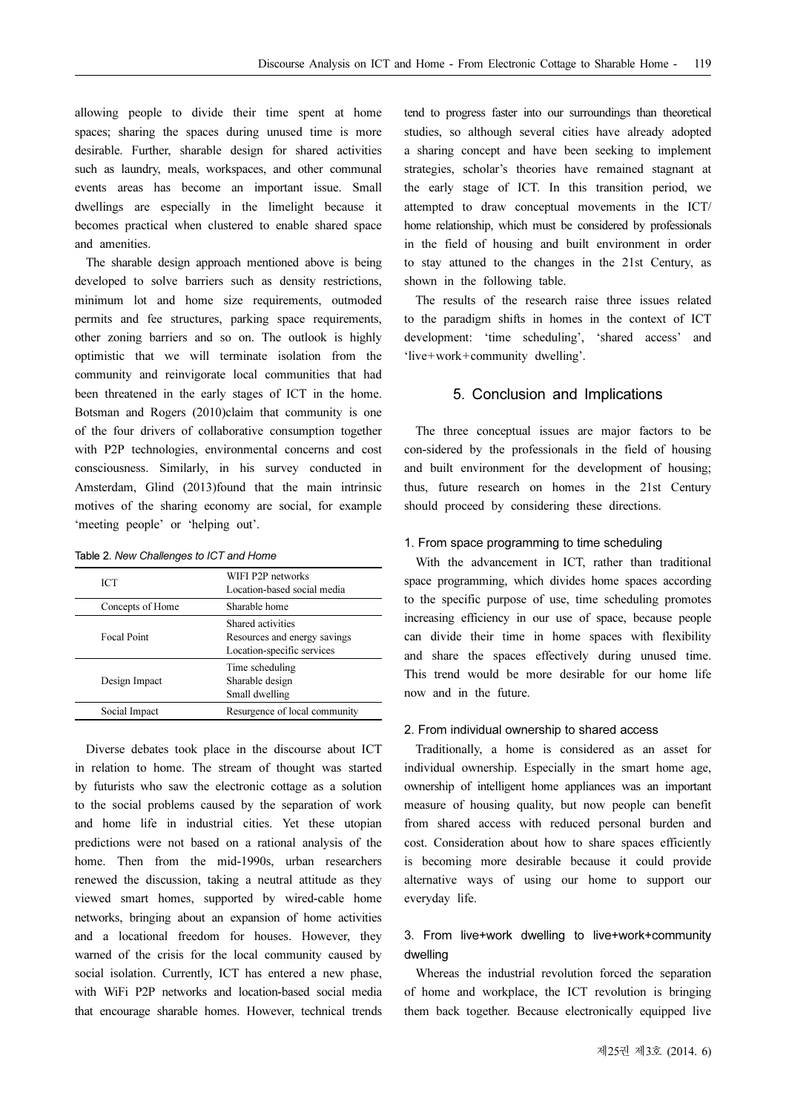allowing people to divide their time spent at home spaces; sharing the spaces during unused time is more desirable. Further, sharable design for shared activities such as laundry, meals, workspaces, and other communal events areas has become an important issue. Small dwellings are especially in the limelight because it becomes practical when clustered to enable shared space and amenities.

The sharable design approach mentioned above is being developed to solve barriers such as density restrictions, minimum lot and home size requirements, outmoded permits and fee structures, parking space requirements, other zoning barriers and so on. The outlook is highly optimistic that we will terminate isolation from the community and reinvigorate local communities that had been threatened in the early stages of ICT in the home. Botsman and Rogers (2010)claim that community is one of the four drivers of collaborative consumption together with P2P technologies, environmental concerns and cost consciousness. Similarly, in his survey conducted in Amsterdam, Glind (2013)found that the main intrinsic motives of the sharing economy are social, for example 'meeting people' or 'helping out'.

|  | Table 2. New Challenges to ICT and Home |  |
|--|-----------------------------------------|--|
|  |                                         |  |

| <b>ICT</b>         | WIFI P2P networks<br>Location-based social media                                |  |  |
|--------------------|---------------------------------------------------------------------------------|--|--|
| Concepts of Home   | Sharable home                                                                   |  |  |
| <b>Focal Point</b> | Shared activities<br>Resources and energy savings<br>Location-specific services |  |  |
| Design Impact      | Time scheduling<br>Sharable design<br>Small dwelling                            |  |  |
| Social Impact      | Resurgence of local community                                                   |  |  |

Diverse debates took place in the discourse about ICT in relation to home. The stream of thought was started by futurists who saw the electronic cottage as a solution to the social problems caused by the separation of work and home life in industrial cities. Yet these utopian predictions were not based on a rational analysis of the home. Then from the mid-1990s, urban researchers renewed the discussion, taking a neutral attitude as they viewed smart homes, supported by wired-cable home networks, bringing about an expansion of home activities and a locational freedom for houses. However, they warned of the crisis for the local community caused by social isolation. Currently, ICT has entered a new phase, with WiFi P2P networks and location-based social media that encourage sharable homes. However, technical trends tend to progress faster into our surroundings than theoretical studies, so although several cities have already adopted a sharing concept and have been seeking to implement strategies, scholar's theories have remained stagnant at the early stage of ICT. In this transition period, we attempted to draw conceptual movements in the ICT/ home relationship, which must be considered by professionals in the field of housing and built environment in order to stay attuned to the changes in the 21st Century, as shown in the following table.

The results of the research raise three issues related to the paradigm shifts in homes in the context of ICT development: 'time scheduling', 'shared access' and 'live+work+community dwelling'.

## 5. Conclusion and Implications

The three conceptual issues are major factors to be con-sidered by the professionals in the field of housing and built environment for the development of housing; thus, future research on homes in the 21st Century should proceed by considering these directions.

#### 1. From space programming to time scheduling

With the advancement in ICT, rather than traditional space programming, which divides home spaces according to the specific purpose of use, time scheduling promotes increasing efficiency in our use of space, because people can divide their time in home spaces with flexibility and share the spaces effectively during unused time. This trend would be more desirable for our home life now and in the future.

#### 2. From individual ownership to shared access

Traditionally, a home is considered as an asset for individual ownership. Especially in the smart home age, ownership of intelligent home appliances was an important measure of housing quality, but now people can benefit from shared access with reduced personal burden and cost. Consideration about how to share spaces efficiently is becoming more desirable because it could provide alternative ways of using our home to support our everyday life.

## 3. From live+work dwelling to live+work+community dwelling

Whereas the industrial revolution forced the separation of home and workplace, the ICT revolution is bringing them back together. Because electronically equipped live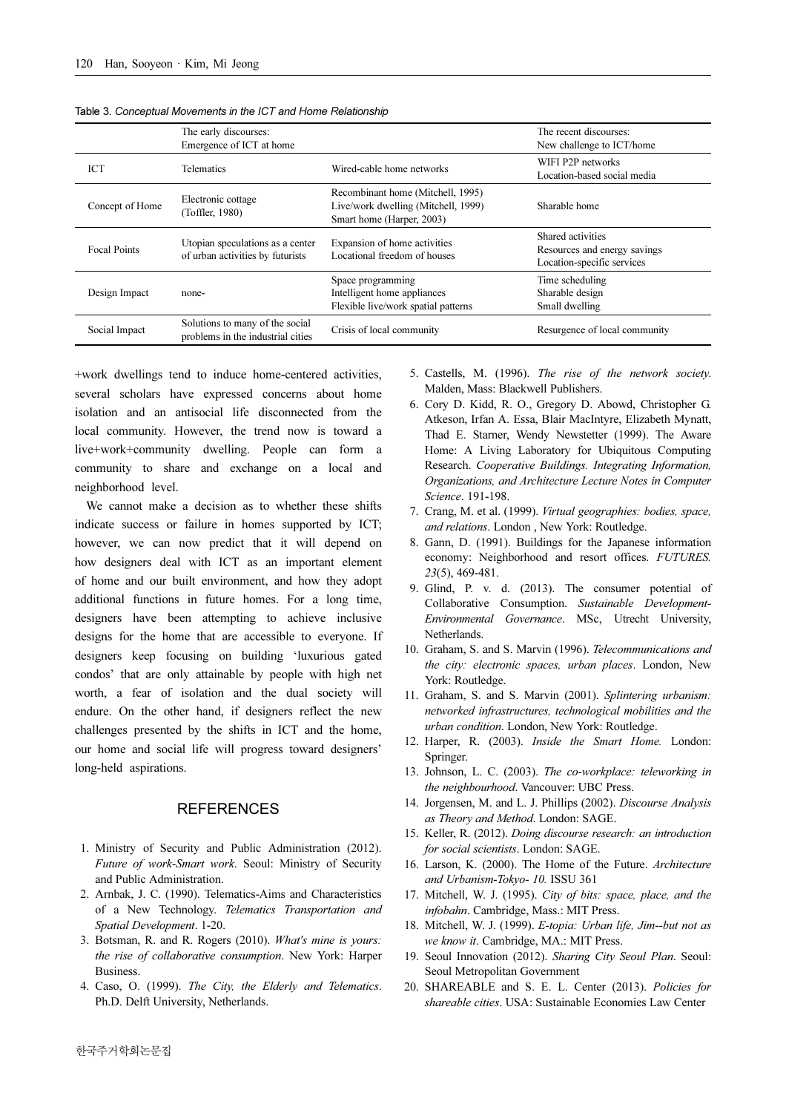|                     | The early discourses:<br>Emergence of ICT at home                    |                                                                                                       | The recent discourses:<br>New challenge to ICT/home                             |
|---------------------|----------------------------------------------------------------------|-------------------------------------------------------------------------------------------------------|---------------------------------------------------------------------------------|
| <b>ICT</b>          | <b>Telematics</b>                                                    | Wired-cable home networks                                                                             | WIFI P2P networks<br>Location-based social media                                |
| Concept of Home     | Electronic cottage<br>(Toffler, 1980)                                | Recombinant home (Mitchell, 1995)<br>Live/work dwelling (Mitchell, 1999)<br>Smart home (Harper, 2003) | Sharable home                                                                   |
| <b>Focal Points</b> | Utopian speculations as a center<br>of urban activities by futurists | Expansion of home activities<br>Locational freedom of houses                                          | Shared activities<br>Resources and energy savings<br>Location-specific services |
| Design Impact       | none-                                                                | Space programming<br>Intelligent home appliances<br>Flexible live/work spatial patterns               | Time scheduling<br>Sharable design<br>Small dwelling                            |
| Social Impact       | Solutions to many of the social<br>problems in the industrial cities | Crisis of local community                                                                             | Resurgence of local community                                                   |

Table 3. Conceptual Movements in the ICT and Home Relationship

+work dwellings tend to induce home-centered activities, several scholars have expressed concerns about home isolation and an antisocial life disconnected from the local community. However, the trend now is toward a live+work+community dwelling. People can form a community to share and exchange on a local and neighborhood level.

We cannot make a decision as to whether these shifts indicate success or failure in homes supported by ICT; however, we can now predict that it will depend on how designers deal with ICT as an important element of home and our built environment, and how they adopt additional functions in future homes. For a long time, designers have been attempting to achieve inclusive designs for the home that are accessible to everyone. If designers keep focusing on building 'luxurious gated condos' that are only attainable by people with high net worth, a fear of isolation and the dual society will endure. On the other hand, if designers reflect the new challenges presented by the shifts in ICT and the home, our home and social life will progress toward designers' long-held aspirations.

## **REFERENCES**

- 1. Ministry of Security and Public Administration (2012). Future of work-Smart work. Seoul: Ministry of Security and Public Administration.
- 2. Arnbak, J. C. (1990). Telematics-Aims and Characteristics of a New Technology. Telematics Transportation and Spatial Development. 1-20.
- 3. Botsman, R. and R. Rogers (2010). What's mine is yours: the rise of collaborative consumption. New York: Harper Business.
- 4. Caso, O. (1999). The City, the Elderly and Telematics. Ph.D. Delft University, Netherlands.
- 5. Castells, M. (1996). The rise of the network society. Malden, Mass: Blackwell Publishers.
- 6. Cory D. Kidd, R. O., Gregory D. Abowd, Christopher G. Atkeson, Irfan A. Essa, Blair MacIntyre, Elizabeth Mynatt, Thad E. Starner, Wendy Newstetter (1999). The Aware Home: A Living Laboratory for Ubiquitous Computing Research. Cooperative Buildings. Integrating Information, Organizations, and Architecture Lecture Notes in Computer Science. 191-198.
- 7. Crang, M. et al. (1999). Virtual geographies: bodies, space, and relations. London , New York: Routledge.
- 8. Gann, D. (1991). Buildings for the Japanese information economy: Neighborhood and resort offices. FUTURES. 23(5), 469-481.
- 9. Glind, P. v. d. (2013). The consumer potential of Collaborative Consumption. Sustainable Development-Environmental Governance. MSc, Utrecht University, **Netherlands**
- 10. Graham, S. and S. Marvin (1996). Telecommunications and the city: electronic spaces, urban places. London, New York: Routledge.
- 11. Graham, S. and S. Marvin (2001). Splintering urbanism: networked infrastructures, technological mobilities and the urban condition. London, New York: Routledge.
- 12. Harper, R. (2003). Inside the Smart Home. London: Springer.
- 13. Johnson, L. C. (2003). The co-workplace: teleworking in the neighbourhood. Vancouver: UBC Press.
- 14. Jorgensen, M. and L. J. Phillips (2002). Discourse Analysis as Theory and Method. London: SAGE.
- 15. Keller, R. (2012). Doing discourse research: an introduction for social scientists. London: SAGE.
- 16. Larson, K. (2000). The Home of the Future. Architecture and Urbanism-Tokyo- 10. ISSU 361
- 17. Mitchell, W. J. (1995). City of bits: space, place, and the infobahn. Cambridge, Mass.: MIT Press.
- 18. Mitchell, W. J. (1999). E-topia: Urban life, Jim--but not as we know it. Cambridge, MA.: MIT Press.
- 19. Seoul Innovation (2012). Sharing City Seoul Plan. Seoul: Seoul Metropolitan Government
- 20. SHAREABLE and S. E. L. Center (2013). Policies for shareable cities. USA: Sustainable Economies Law Center